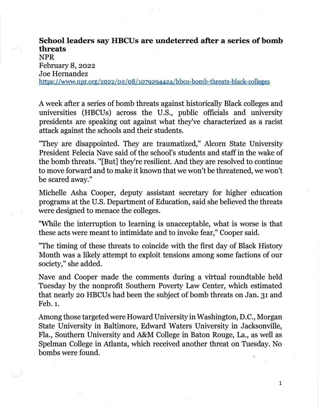## **School leaders say HBCUs are undeterred after a series of bomb threats**  NPR February 8, <sup>2022</sup> Joe Hernandez https://www.npr.org/2022/02/08/1079294424/hbcu-bomb-threats-black-colleges

A week after a series of bomb threats against historically Black colleges and universities (HBCUs) across the U.S., public officials and university presidents are speaking out against what they've characterized as a racist attack against the schools and their students.

"They are disappointed. They are traumatized," Alcorn State University President Felecia Nave said of the school's students and staff in the wake of the bomb threats. "[But] they're resilient. And they are resolved to continue to move forward and to make it known that we won't be threatened, we won't be scared away."

Michelle Asha Cooper, deputy assistant secretary for higher education programs at the U.S. Department of Education, said she believed the threats were designed to menace the colleges.

"While the interruption to learning is unacceptable, what is worse is that these acts were meant to intimidate and to invoke fear," Cooper said.

"The timing of these threats to coincide with the first day of Black History Month was a likely attempt to exploit tensions among some factions of our society," she added.

Nave and Cooper made the comments during a virtual roundtable held Tuesday by the nonprofit Southern Poverty Law Center, which estimated that nearly 20 HBCUs had been the subject of bomb threats on Jan. 31 and Feb.1.

Among those targeted were Howard University in Washington, D.C., Morgan State University in Baltimore, Edward Waters University in Jacksonville, Fla., Southern University and A&M College in Baton Rouge, La., as well as Spelman College in Atlanta, which received another threat on Tuesday. No bombs were found.

1